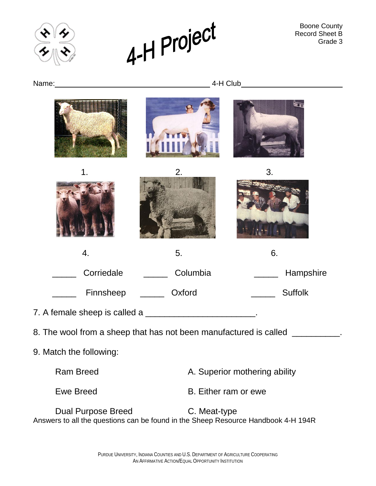



Boone County Record Sheet B Grade 3

Name:  $4-H Club$